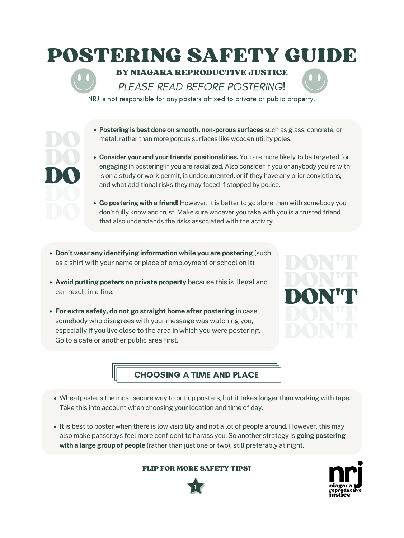- **Postering is best done on smooth, non-porous surfaces** such as glass, concrete, or metal, rather than more porous surfaces like wooden utility poles.
- **Consider your and your friends' positionalities.** You are more likely to be targeted for engaging in postering if you are racialized. Also considerif you or anybody you're with is on a study or work permit, is undocumented, or if they have any prior convictions, and what additional risks they may faced if stopped by police.
- **Go postering with a friend!** However, it is better to go alone than with somebody you don't fully know and trust. Make sure whoever you take with you is a trusted friend that also understands the risks associated with the activity.
- **Don't wear any identifying information while you are postering** (such as a shirt with your name or place of employment or school on it).

- 
- **Avoid putting posters on private property** because this is illegal and can result in a fine.
- **For extra safety, do not go straight home after postering** in case somebody who disagrees with your message was watching you, especially if you live close to the area in which you were postering. Go to a cafe or another public area first.



DO

DO

DO



- Wheatpaste is the most secure way to put up posters, but it takes longer than working with tape. Take this into account when choosing your location and time of day.
- It is best to poster when there is low visibility and not a lot of people around. However, this may also make passerbys feel more confident to harass you. So another strategy is **going postering with a large group of people** (rather than just one or two), still preferably at night.

## FLIP FOR MORE SAFETY TIPS!

## CHOOSING A TIME AND PLACE

## POSTERING SAFETY GUIDE

BY NIAGARA REPRODUCTIVE JUSTICE PLEASE READ BEFORE POSTERING!

NRJ is not responsible for any posters affixed to private or public property.